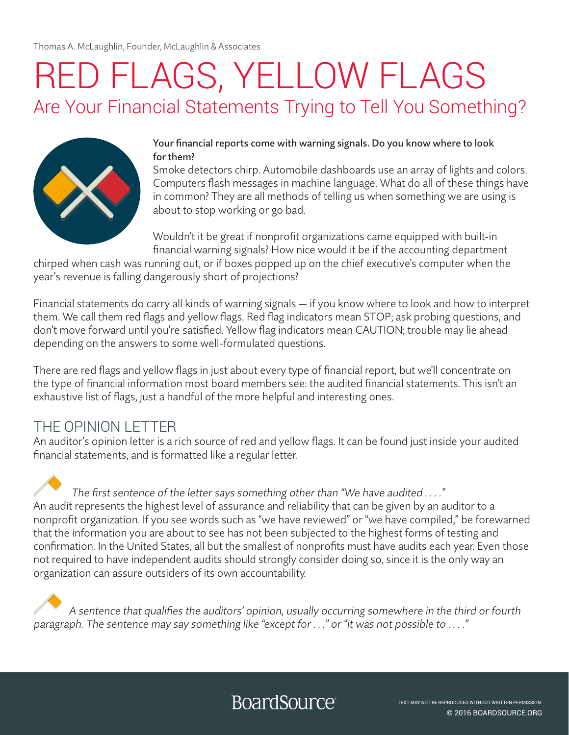Thomas A. McLaughlin, Founder, McLaughlin & Associates

# RED FLAGS, YELLOW FLAGS Are Your Financial Statements Trying to Tell You Something?



#### Your financial reports come with warning signals. Do you know where to look for them?

Smoke detectors chirp. Automobile dashboards use an array of lights and colors. Computers flash messages in machine language. What do all of these things have in common? They are all methods of telling us when something we are using is about to stop working or go bad.

Wouldn't it be great if nonprofit organizations came equipped with built-in financial warning signals? How nice would it be if the accounting department

chirped when cash was running out, or if boxes popped up on the chief executive's computer when the year's revenue is falling dangerously short of projections?

Financial statements do carry all kinds of warning signals — if you know where to look and how to interpret them. We call them red flags and yellow flags. Red flag indicators mean STOP; ask probing questions, and don't move forward until you're satisfied. Yellow flag indicators mean CAUTION; trouble may lie ahead depending on the answers to some well-formulated questions.

There are red flags and yellow flags in just about every type of financial report, but we'll concentrate on the type of financial information most board members see: the audited financial statements. This isn't an exhaustive list of flags, just a handful of the more helpful and interesting ones.

### THE OPINION LETTER

An auditor's opinion letter is a rich source of red and yellow flags. It can be found just inside your audited financial statements, and is formatted like a regular letter.

 The first sentence of the letter says something other than "We have audited . . . ." An audit represents the highest level of assurance and reliability that can be given by an auditor to a nonprofit organization. If you see words such as "we have reviewed" or "we have compiled," be forewarned that the information you are about to see has not been subjected to the highest forms of testing and confirmation. In the United States, all but the smallest of nonprofits must have audits each year. Even those not required to have independent audits should strongly consider doing so, since it is the only way an organization can assure outsiders of its own accountability.

 A sentence that qualifies the auditors' opinion, usually occurring somewhere in the third or fourth paragraph. The sentence may say something like "except for . . ." or "it was not possible to . . . ."

## **BoardSource**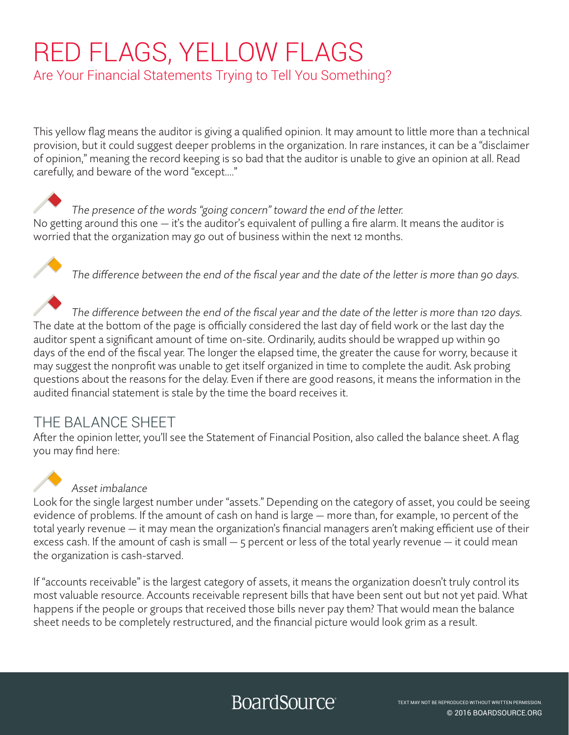# RED FLAGS, YELLOW FLAGS

Are Your Financial Statements Trying to Tell You Something?

This yellow flag means the auditor is giving a qualified opinion. It may amount to little more than a technical provision, but it could suggest deeper problems in the organization. In rare instances, it can be a "disclaimer of opinion," meaning the record keeping is so bad that the auditor is unable to give an opinion at all. Read carefully, and beware of the word "except…."

 The presence of the words "going concern" toward the end of the letter. No getting around this one — it's the auditor's equivalent of pulling a fire alarm. It means the auditor is worried that the organization may go out of business within the next 12 months.

The difference between the end of the fiscal year and the date of the letter is more than 90 days.

 The difference between the end of the fiscal year and the date of the letter is more than 120 days. The date at the bottom of the page is officially considered the last day of field work or the last day the auditor spent a significant amount of time on-site. Ordinarily, audits should be wrapped up within 90 days of the end of the fiscal year. The longer the elapsed time, the greater the cause for worry, because it may suggest the nonprofit was unable to get itself organized in time to complete the audit. Ask probing questions about the reasons for the delay. Even if there are good reasons, it means the information in the audited financial statement is stale by the time the board receives it.

### THE BALANCE SHEET

After the opinion letter, you'll see the Statement of Financial Position, also called the balance sheet. A flag you may find here:



### Asset imbalance

Look for the single largest number under "assets." Depending on the category of asset, you could be seeing evidence of problems. If the amount of cash on hand is large — more than, for example, 10 percent of the total yearly revenue — it may mean the organization's financial managers aren't making efficient use of their excess cash. If the amount of cash is small — 5 percent or less of the total yearly revenue — it could mean the organization is cash-starved.

If "accounts receivable" is the largest category of assets, it means the organization doesn't truly control its most valuable resource. Accounts receivable represent bills that have been sent out but not yet paid. What happens if the people or groups that received those bills never pay them? That would mean the balance sheet needs to be completely restructured, and the financial picture would look grim as a result.

# BoardSource<sup>®</sup>